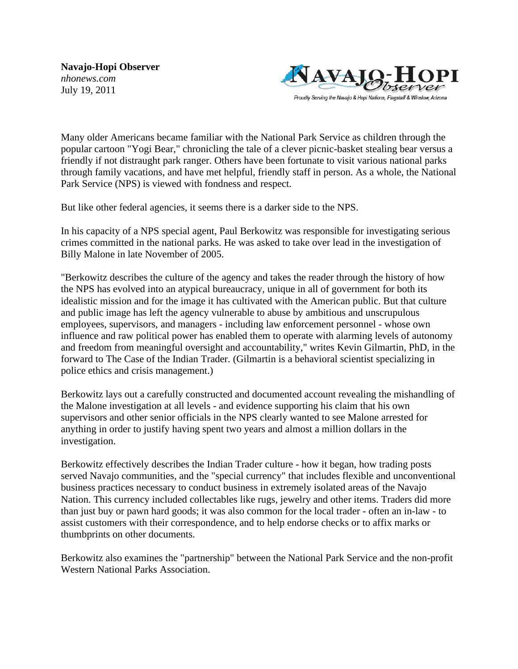**Navajo-Hopi Observer** *nhonews.com* July 19, 2011



Many older Americans became familiar with the National Park Service as children through the popular cartoon "Yogi Bear," chronicling the tale of a clever picnic-basket stealing bear versus a friendly if not distraught park ranger. Others have been fortunate to visit various national parks through family vacations, and have met helpful, friendly staff in person. As a whole, the National Park Service (NPS) is viewed with fondness and respect.

But like other federal agencies, it seems there is a darker side to the NPS.

In his capacity of a NPS special agent, Paul Berkowitz was responsible for investigating serious crimes committed in the national parks. He was asked to take over lead in the investigation of Billy Malone in late November of 2005.

"Berkowitz describes the culture of the agency and takes the reader through the history of how the NPS has evolved into an atypical bureaucracy, unique in all of government for both its idealistic mission and for the image it has cultivated with the American public. But that culture and public image has left the agency vulnerable to abuse by ambitious and unscrupulous employees, supervisors, and managers - including law enforcement personnel - whose own influence and raw political power has enabled them to operate with alarming levels of autonomy and freedom from meaningful oversight and accountability," writes Kevin Gilmartin, PhD, in the forward to The Case of the Indian Trader. (Gilmartin is a behavioral scientist specializing in police ethics and crisis management.)

Berkowitz lays out a carefully constructed and documented account revealing the mishandling of the Malone investigation at all levels - and evidence supporting his claim that his own supervisors and other senior officials in the NPS clearly wanted to see Malone arrested for anything in order to justify having spent two years and almost a million dollars in the investigation.

Berkowitz effectively describes the Indian Trader culture - how it began, how trading posts served Navajo communities, and the "special currency" that includes flexible and unconventional business practices necessary to conduct business in extremely isolated areas of the Navajo Nation. This currency included collectables like rugs, jewelry and other items. Traders did more than just buy or pawn hard goods; it was also common for the local trader - often an in-law - to assist customers with their correspondence, and to help endorse checks or to affix marks or thumbprints on other documents.

Berkowitz also examines the "partnership" between the National Park Service and the non-profit Western National Parks Association.